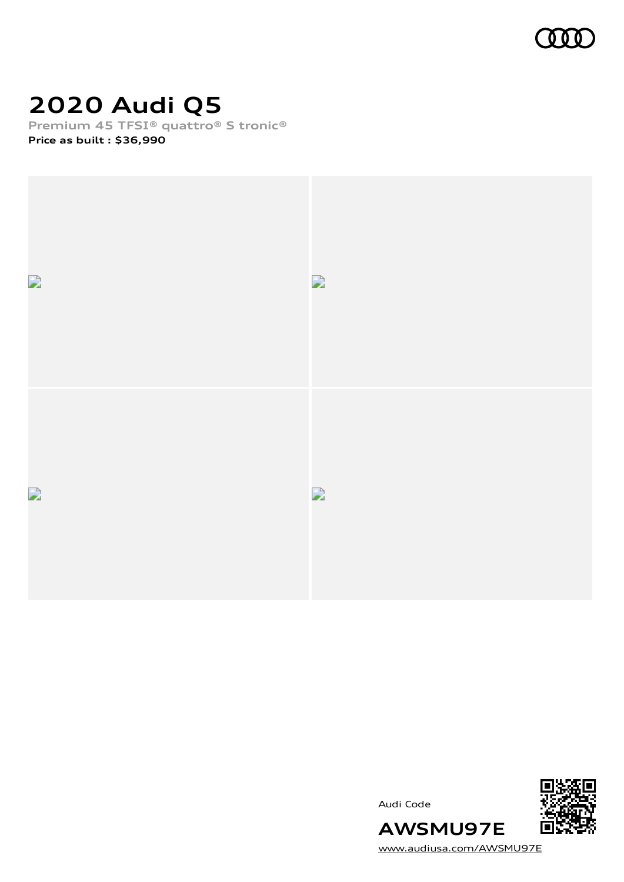

# **2020 Audi Q5**

**Premium 45 TFSI® quattro® S tronic®**

**Price as built [:](#page-8-0) \$36,990**



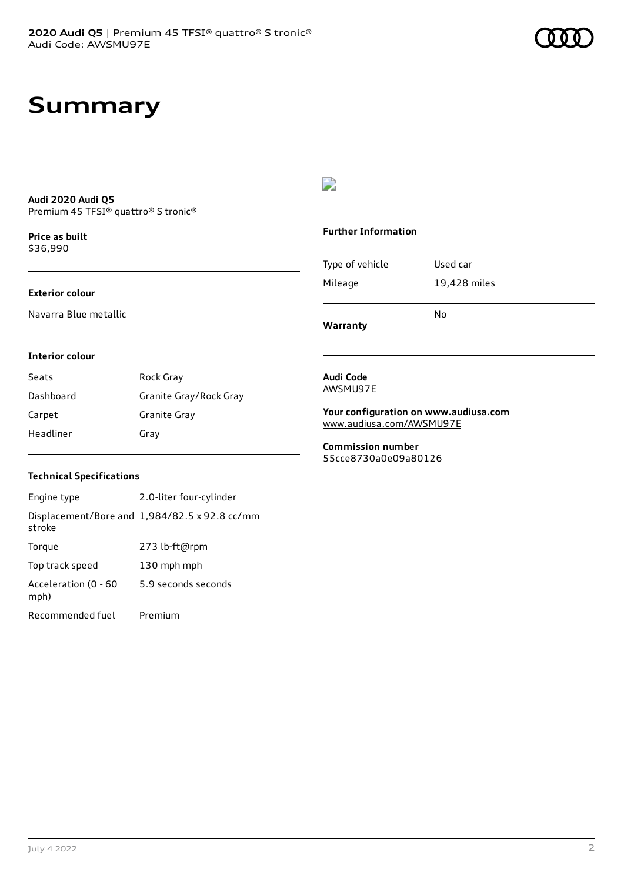# **Summary**

#### **Audi 2020 Audi Q5** Premium 45 TFSI® quattro® S tronic®

**Price as buil[t](#page-8-0)** \$36,990

#### **Exterior colour**

Navarra Blue metallic

# $\overline{\phantom{a}}$

#### **Further Information**

|                 | N٥           |
|-----------------|--------------|
| Mileage         | 19,428 miles |
| Type of vehicle | Used car     |

**Warranty**

#### **Interior colour**

| Seats     | Rock Gray              |
|-----------|------------------------|
| Dashboard | Granite Gray/Rock Gray |
| Carpet    | Granite Gray           |
| Headliner | Gray                   |

#### **Audi Code** AWSMU97E

**Your configuration on www.audiusa.com** [www.audiusa.com/AWSMU97E](https://www.audiusa.com/AWSMU97E)

**Commission number** 55cce8730a0e09a80126

### **Technical Specifications**

| Engine type                  | 2.0-liter four-cylinder                       |
|------------------------------|-----------------------------------------------|
| stroke                       | Displacement/Bore and 1,984/82.5 x 92.8 cc/mm |
| Torque                       | 273 lb-ft@rpm                                 |
| Top track speed              | 130 mph mph                                   |
| Acceleration (0 - 60<br>mph) | 5.9 seconds seconds                           |
| Recommended fuel             | Premium                                       |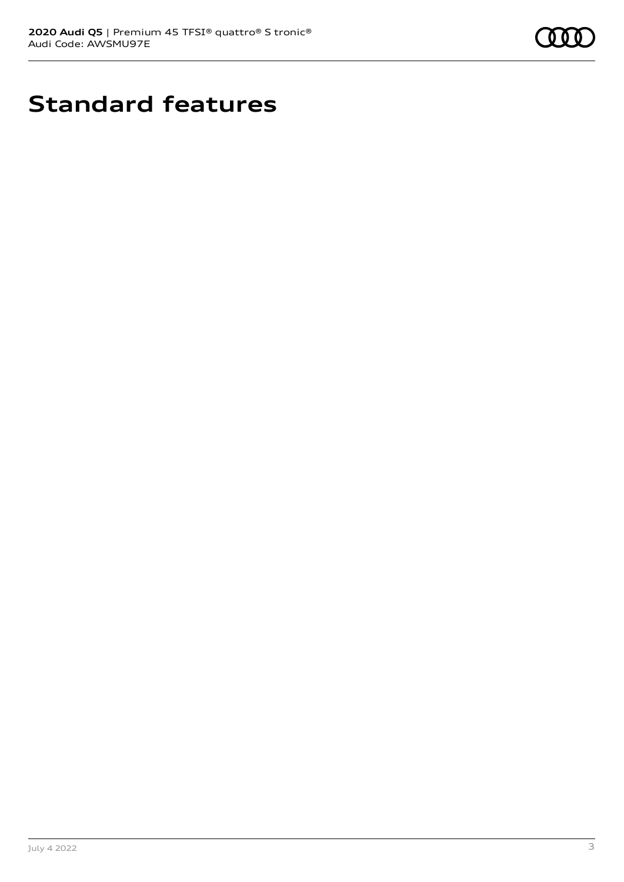

# **Standard features**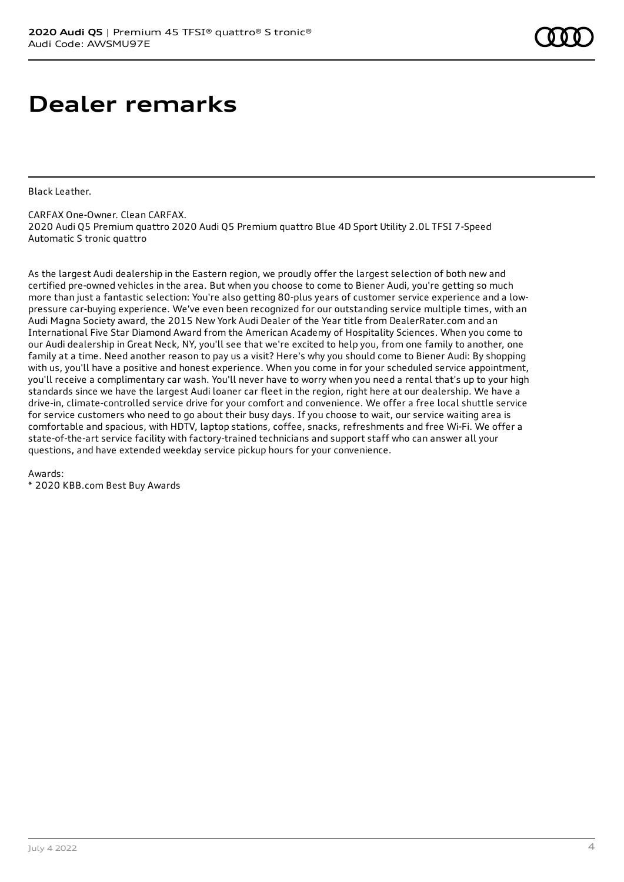# **Dealer remarks**

Black Leather.

CARFAX One-Owner. Clean CARFAX. 2020 Audi Q5 Premium quattro 2020 Audi Q5 Premium quattro Blue 4D Sport Utility 2.0L TFSI 7-Speed Automatic S tronic quattro

As the largest Audi dealership in the Eastern region, we proudly offer the largest selection of both new and certified pre-owned vehicles in the area. But when you choose to come to Biener Audi, you're getting so much more than just a fantastic selection: You're also getting 80-plus years of customer service experience and a lowpressure car-buying experience. We've even been recognized for our outstanding service multiple times, with an Audi Magna Society award, the 2015 New York Audi Dealer of the Year title from DealerRater.com and an International Five Star Diamond Award from the American Academy of Hospitality Sciences. When you come to our Audi dealership in Great Neck, NY, you'll see that we're excited to help you, from one family to another, one family at a time. Need another reason to pay us a visit? Here's why you should come to Biener Audi: By shopping with us, you'll have a positive and honest experience. When you come in for your scheduled service appointment, you'll receive a complimentary car wash. You'll never have to worry when you need a rental that's up to your high standards since we have the largest Audi loaner car fleet in the region, right here at our dealership. We have a drive-in, climate-controlled service drive for your comfort and convenience. We offer a free local shuttle service for service customers who need to go about their busy days. If you choose to wait, our service waiting area is comfortable and spacious, with HDTV, laptop stations, coffee, snacks, refreshments and free Wi-Fi. We offer a state-of-the-art service facility with factory-trained technicians and support staff who can answer all your questions, and have extended weekday service pickup hours for your convenience.

Awards:

\* 2020 KBB.com Best Buy Awards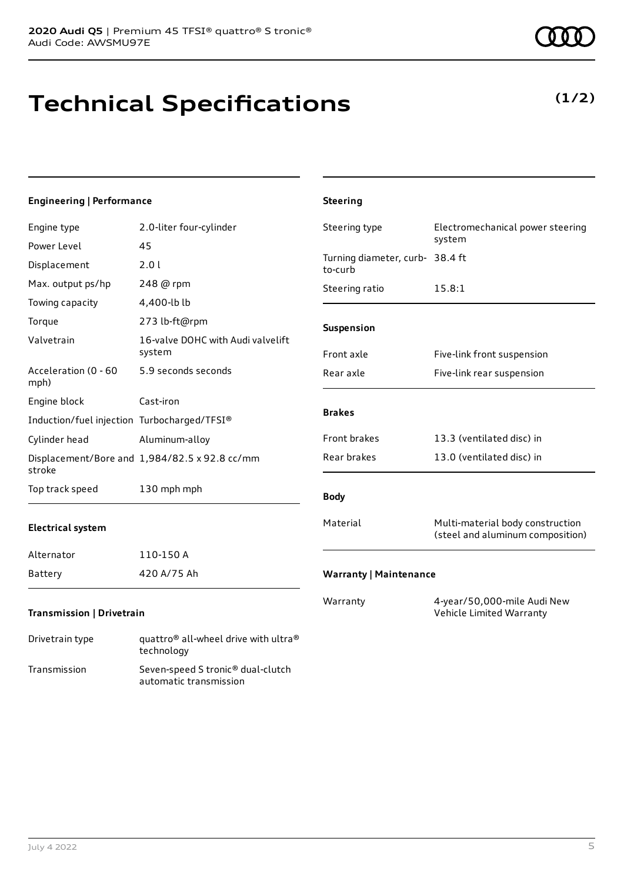# **Technical Specifications**

#### July 4 2022 5

| Engine type                                 | 2.0-liter four-cylinder                       | Steering type                              | Electromechanical power steering                                     |
|---------------------------------------------|-----------------------------------------------|--------------------------------------------|----------------------------------------------------------------------|
| Power Level                                 | 45                                            |                                            | system                                                               |
| Displacement                                | 2.0 l                                         | Turning diameter, curb- 38.4 ft<br>to-curb |                                                                      |
| Max. output ps/hp                           | 248 @ rpm                                     | Steering ratio                             | 15.8:1                                                               |
| Towing capacity                             | 4,400-lb lb                                   |                                            |                                                                      |
| Torque                                      | 273 lb-ft@rpm                                 | Suspension                                 |                                                                      |
| Valvetrain                                  | 16-valve DOHC with Audi valvelift<br>system   | Front axle                                 | Five-link front suspension                                           |
| Acceleration (0 - 60<br>mph)                | 5.9 seconds seconds                           | Rear axle                                  | Five-link rear suspension                                            |
| Engine block                                | Cast-iron                                     |                                            |                                                                      |
| Induction/fuel injection Turbocharged/TFSI® |                                               | <b>Brakes</b>                              |                                                                      |
| Cylinder head                               | Aluminum-alloy                                | Front brakes                               | 13.3 (ventilated disc) in                                            |
| stroke                                      | Displacement/Bore and 1,984/82.5 x 92.8 cc/mm | Rear brakes                                | 13.0 (ventilated disc) in                                            |
| Top track speed                             | 130 mph mph                                   | <b>Body</b>                                |                                                                      |
| <b>Electrical system</b>                    |                                               | Material                                   | Multi-material body construction<br>(steel and aluminum composition) |
| Alternator                                  | 110-150 A                                     |                                            |                                                                      |
| Battery                                     | 420 A/75 Ah                                   | <b>Warranty   Maintenance</b>              |                                                                      |
| Transmission   Drivetrain                   |                                               | Warranty                                   | 4-year/50,000-mile Audi New<br>Vehicle Limited Warranty              |

**Steering**

**Engineering | Performance**

| Drivetrain type | quattro <sup>®</sup> all-wheel drive with ultra <sup>®</sup><br>technology |
|-----------------|----------------------------------------------------------------------------|
| Transmission    | Seven-speed S tronic <sup>®</sup> dual-clutch<br>automatic transmission    |

**(1/2)**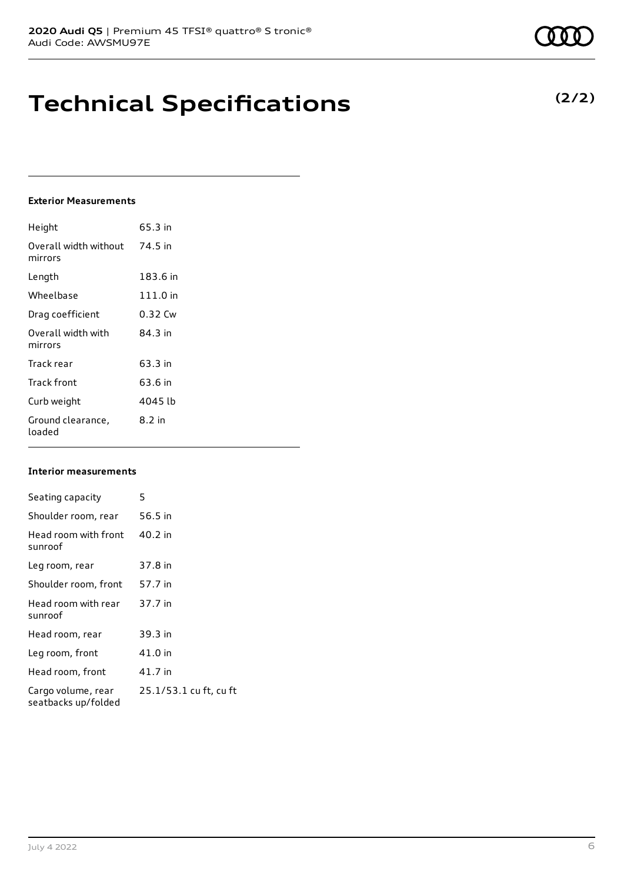# **Technical Specifications**

## **Exterior Measurements**

| Height                           | 65.3 in    |
|----------------------------------|------------|
| Overall width without<br>mirrors | 74.5 in    |
| Length                           | 183.6 in   |
| Wheelbase                        | $111.0$ in |
| Drag coefficient                 | 0.32 Cw    |
| Overall width with<br>mirrors    | 84.3 in    |
| Track rear                       | 63.3 in    |
| Track front                      | 63.6 in    |
| Curb weight                      | 4045 lb    |
| Ground clearance,<br>loaded      | 8.2 in     |

#### **Interior measurements**

| Seating capacity                          | 5                      |
|-------------------------------------------|------------------------|
| Shoulder room, rear                       | 56.5 in                |
| Head room with front<br>sunroof           | 40.2 in                |
| Leg room, rear                            | 37.8 in                |
| Shoulder room, front                      | 57.7 in                |
| Head room with rear<br>sunroof            | 37.7 in                |
| Head room, rear                           | 39.3 in                |
| Leg room, front                           | 41.0 in                |
| Head room, front                          | 41.7 in                |
| Cargo volume, rear<br>seatbacks up/folded | 25.1/53.1 cu ft, cu ft |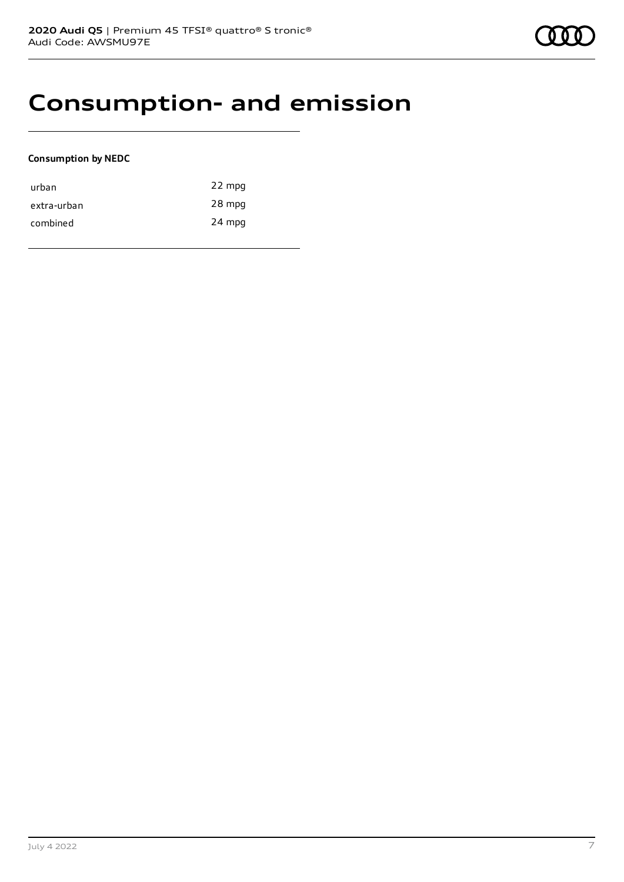# **Consumption- and emission**

#### **Consumption by NEDC**

| urban       | 22 mpg |
|-------------|--------|
| extra-urban | 28 mpg |
| combined    | 24 mpg |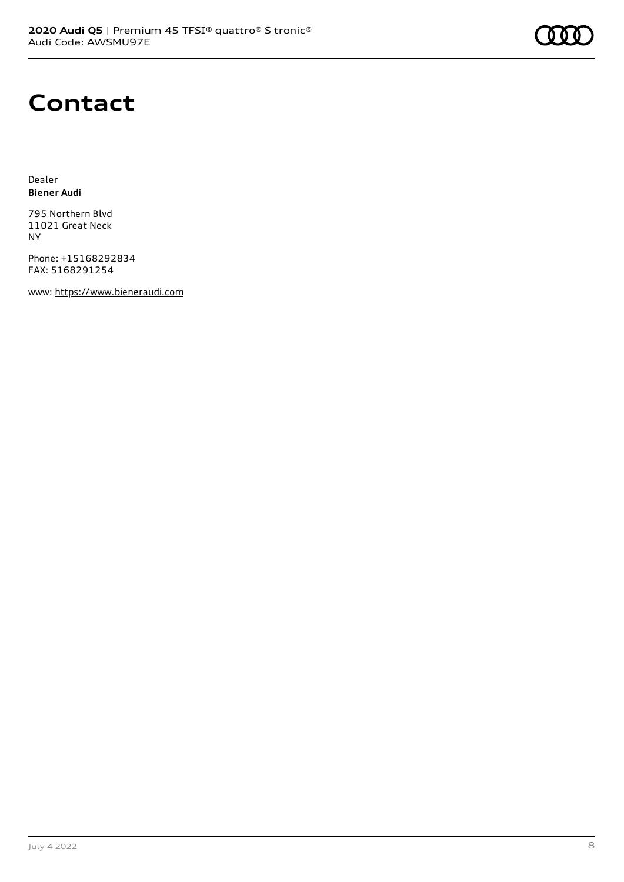

# **Contact**

Dealer **Biener Audi**

795 Northern Blvd 11021 Great Neck NY

Phone: +15168292834 FAX: 5168291254

www: [https://www.bieneraudi.com](https://www.bieneraudi.com/)